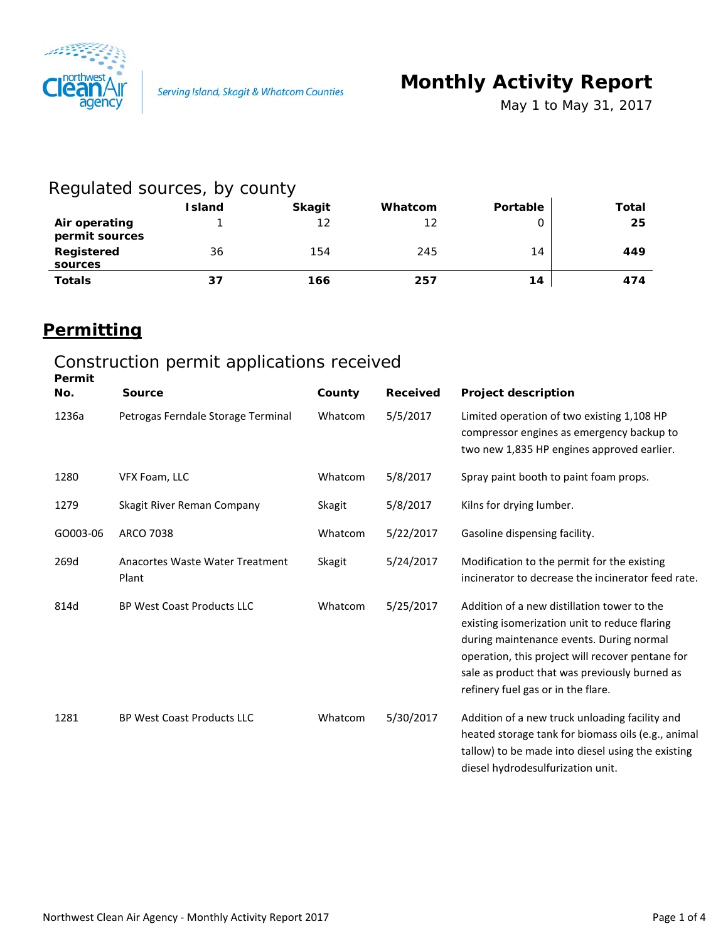

*May 1 to May 31, 2017*

### Regulated sources, by county

|                                 | <b>Island</b> | <b>Skagit</b> | Whatcom | Portable | Total |
|---------------------------------|---------------|---------------|---------|----------|-------|
| Air operating<br>permit sources |               | 12            | 12      |          | 25    |
| Registered<br>sources           | 36            | 154           | 245     | 14       | 449   |
| <b>Totals</b>                   | 37            | 166           | 257     | 14       | 474   |

### **Permitting**

## Construction permit applications received

| Permit   |                                          |         |                 |                                                                                                                                                                                                                                                                                     |
|----------|------------------------------------------|---------|-----------------|-------------------------------------------------------------------------------------------------------------------------------------------------------------------------------------------------------------------------------------------------------------------------------------|
| No.      | <b>Source</b>                            | County  | <b>Received</b> | <b>Project description</b>                                                                                                                                                                                                                                                          |
| 1236a    | Petrogas Ferndale Storage Terminal       | Whatcom | 5/5/2017        | Limited operation of two existing 1,108 HP<br>compressor engines as emergency backup to<br>two new 1,835 HP engines approved earlier.                                                                                                                                               |
| 1280     | VFX Foam, LLC                            | Whatcom | 5/8/2017        | Spray paint booth to paint foam props.                                                                                                                                                                                                                                              |
| 1279     | Skagit River Reman Company               | Skagit  | 5/8/2017        | Kilns for drying lumber.                                                                                                                                                                                                                                                            |
| GO003-06 | <b>ARCO 7038</b>                         | Whatcom | 5/22/2017       | Gasoline dispensing facility.                                                                                                                                                                                                                                                       |
| 269d     | Anacortes Waste Water Treatment<br>Plant | Skagit  | 5/24/2017       | Modification to the permit for the existing<br>incinerator to decrease the incinerator feed rate.                                                                                                                                                                                   |
| 814d     | <b>BP West Coast Products LLC</b>        | Whatcom | 5/25/2017       | Addition of a new distillation tower to the<br>existing isomerization unit to reduce flaring<br>during maintenance events. During normal<br>operation, this project will recover pentane for<br>sale as product that was previously burned as<br>refinery fuel gas or in the flare. |
| 1281     | BP West Coast Products LLC               | Whatcom | 5/30/2017       | Addition of a new truck unloading facility and<br>heated storage tank for biomass oils (e.g., animal<br>tallow) to be made into diesel using the existing<br>diesel hydrodesulfurization unit.                                                                                      |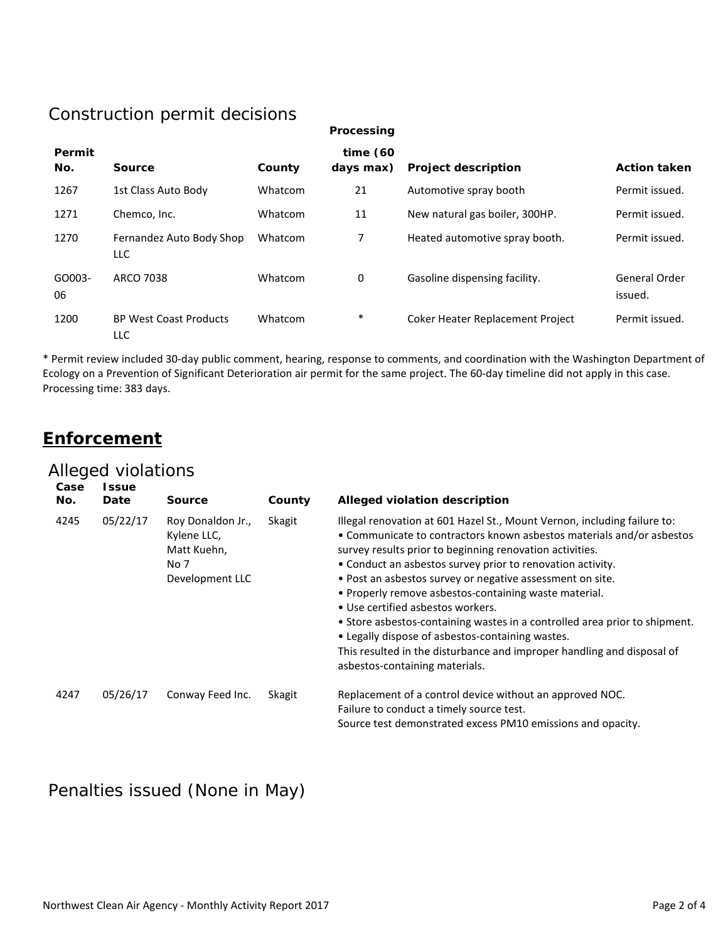## Construction permit decisions

| Processing |  |
|------------|--|
|            |  |

| Permit<br>No. | Source                                 | County  | time $(60)$<br>days max) | <b>Project description</b>       | <b>Action taken</b>             |
|---------------|----------------------------------------|---------|--------------------------|----------------------------------|---------------------------------|
| 1267          | 1st Class Auto Body                    | Whatcom | 21                       | Automotive spray booth           | Permit issued.                  |
| 1271          | Chemco, Inc.                           | Whatcom | 11                       | New natural gas boiler, 300HP.   | Permit issued.                  |
| 1270          | Fernandez Auto Body Shop<br><b>LLC</b> | Whatcom | 7                        | Heated automotive spray booth.   | Permit issued.                  |
| GO003-<br>06  | ARCO 7038                              | Whatcom | 0                        | Gasoline dispensing facility.    | <b>General Order</b><br>issued. |
| 1200          | <b>BP West Coast Products</b><br>LLC   | Whatcom | $\ast$                   | Coker Heater Replacement Project | Permit issued.                  |

\* Permit review included 30-day public comment, hearing, response to comments, and coordination with the Washington Department of Ecology on a Prevention of Significant Deterioration air permit for the same project. The 60-day timeline did not apply in this case. Processing time: 383 days.

#### **Enforcement**

#### Alleged violations

| Case<br>No. | <b>Issue</b><br>Date | <b>Source</b>                                                              | County | Alleged violation description                                                                                                                                                                                                                                                                                                                                                                                                                                                                                                                                                                                                                                                        |
|-------------|----------------------|----------------------------------------------------------------------------|--------|--------------------------------------------------------------------------------------------------------------------------------------------------------------------------------------------------------------------------------------------------------------------------------------------------------------------------------------------------------------------------------------------------------------------------------------------------------------------------------------------------------------------------------------------------------------------------------------------------------------------------------------------------------------------------------------|
| 4245        | 05/22/17             | Roy Donaldon Jr.,<br>Kylene LLC,<br>Matt Kuehn,<br>No 7<br>Development LLC | Skagit | Illegal renovation at 601 Hazel St., Mount Vernon, including failure to:<br>• Communicate to contractors known asbestos materials and/or asbestos<br>survey results prior to beginning renovation activities.<br>• Conduct an asbestos survey prior to renovation activity.<br>• Post an asbestos survey or negative assessment on site.<br>• Properly remove asbestos-containing waste material.<br>• Use certified asbestos workers.<br>• Store asbestos-containing wastes in a controlled area prior to shipment.<br>• Legally dispose of asbestos-containing wastes.<br>This resulted in the disturbance and improper handling and disposal of<br>asbestos-containing materials. |
| 4247        | 05/26/17             | Conway Feed Inc.                                                           | Skagit | Replacement of a control device without an approved NOC.<br>Failure to conduct a timely source test.<br>Source test demonstrated excess PM10 emissions and opacity.                                                                                                                                                                                                                                                                                                                                                                                                                                                                                                                  |

#### Penalties issued (None in May)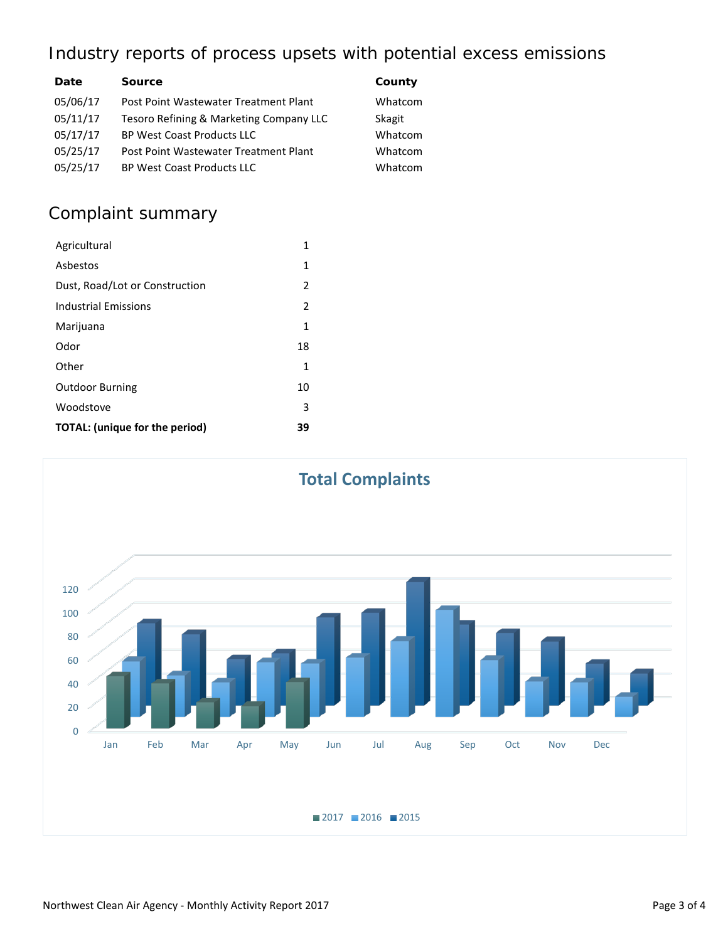### Industry reports of process upsets with potential excess emissions

| Date     | <b>Source</b>                           | County  |
|----------|-----------------------------------------|---------|
| 05/06/17 | Post Point Wastewater Treatment Plant   | Whatcom |
| 05/11/17 | Tesoro Refining & Marketing Company LLC | Skagit  |
| 05/17/17 | <b>BP West Coast Products LLC</b>       | Whatcom |
| 05/25/17 | Post Point Wastewater Treatment Plant   | Whatcom |
| 05/25/17 | <b>BP West Coast Products LLC</b>       | Whatcom |

# Complaint summary

| Agricultural                          | 1  |
|---------------------------------------|----|
| Ashestos                              | 1  |
| Dust, Road/Lot or Construction        | 2  |
| Industrial Emissions                  | 2  |
| Marijuana                             | 1  |
| Odor                                  | 18 |
| Other                                 | 1  |
| <b>Outdoor Burning</b>                | 10 |
| Woodstove                             | 3  |
| <b>TOTAL: (unique for the period)</b> | 39 |